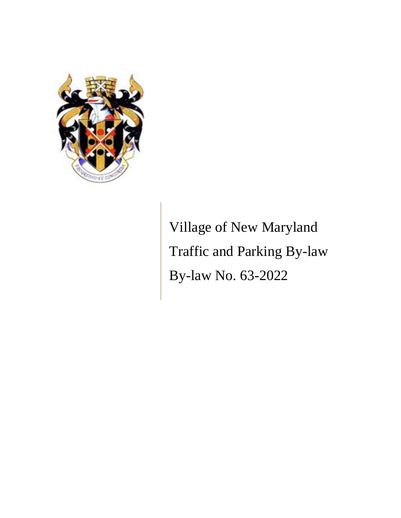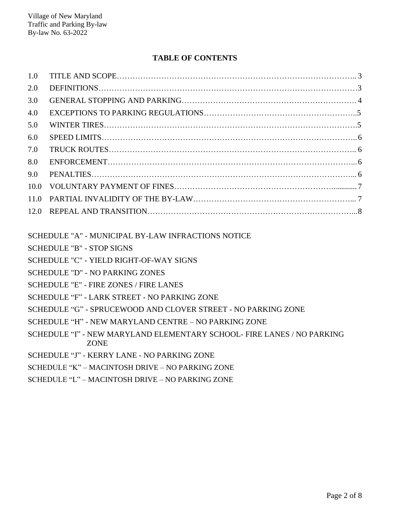# **TABLE OF CONTENTS**

| 1.0  |  |
|------|--|
| 2.0  |  |
| 3.0  |  |
| 4.0  |  |
| 5.0  |  |
| 6.0  |  |
| 7.0  |  |
| 8.0  |  |
| 9.0  |  |
| 10.0 |  |
| 11.0 |  |
|      |  |
|      |  |

SCHEDULE "A" - MUNICIPAL BY-LAW INFRACTIONS NOTICE

- SCHEDULE "B" STOP SIGNS
- SCHEDULE "C" YIELD RIGHT-OF-WAY SIGNS
- SCHEDULE "D" NO PARKING ZONES
- SCHEDULE "E" FIRE ZONES / FIRE LANES
- SCHEDULE "F" LARK STREET NO PARKING ZONE
- SCHEDULE "G" SPRUCEWOOD AND CLOVER STREET NO PARKING ZONE
- SCHEDULE "H" NEW MARYLAND CENTRE NO PARKING ZONE
- SCHEDULE "I" NEW MARYLAND ELEMENTARY SCHOOL- FIRE LANES / NO PARKING ZONE
- SCHEDULE "J" KERRY LANE NO PARKING ZONE
- SCHEDULE "K" MACINTOSH DRIVE NO PARKING ZONE
- SCHEDULE "L" MACINTOSH DRIVE NO PARKING ZONE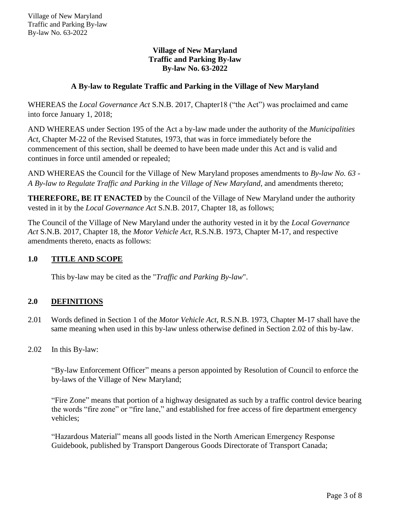# **A By-law to Regulate Traffic and Parking in the Village of New Maryland**

WHEREAS the *Local Governance Act* S.N.B. 2017, Chapter18 ("the Act") was proclaimed and came into force January 1, 2018;

AND WHEREAS under Section 195 of the Act a by-law made under the authority of the *Municipalities Act*, Chapter M-22 of the Revised Statutes, 1973, that was in force immediately before the commencement of this section, shall be deemed to have been made under this Act and is valid and continues in force until amended or repealed;

AND WHEREAS the Council for the Village of New Maryland proposes amendments to *By-law No. 63 - A By-law to Regulate Traffic and Parking in the Village of New Maryland*, and amendments thereto;

**THEREFORE, BE IT ENACTED** by the Council of the Village of New Maryland under the authority vested in it by the *Local Governance Act* S.N.B. 2017, Chapter 18, as follows;

The Council of the Village of New Maryland under the authority vested in it by the *Local Governance Act* S.N.B. 2017, Chapter 18*,* the *Motor Vehicle Act*, R.S.N.B. 1973, Chapter M-17, and respective amendments thereto, enacts as follows:

# **1.0 TITLE AND SCOPE**

This by-law may be cited as the "*Traffic and Parking By-law*".

## **2.0 DEFINITIONS**

- 2.01 Words defined in Section 1 of the *Motor Vehicle Act*, R.S.N.B. 1973, Chapter M-17 shall have the same meaning when used in this by-law unless otherwise defined in Section 2.02 of this by-law.
- 2.02 In this By-law:

"By-law Enforcement Officer" means a person appointed by Resolution of Council to enforce the by-laws of the Village of New Maryland;

"Fire Zone" means that portion of a highway designated as such by a traffic control device bearing the words "fire zone" or "fire lane," and established for free access of fire department emergency vehicles;

"Hazardous Material" means all goods listed in the North American Emergency Response Guidebook, published by Transport Dangerous Goods Directorate of Transport Canada;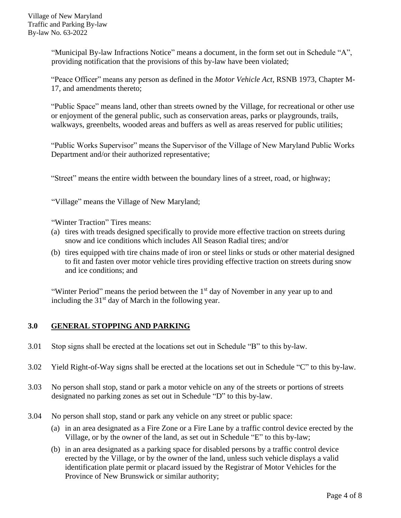"Municipal By-law Infractions Notice" means a document, in the form set out in Schedule "A", providing notification that the provisions of this by-law have been violated;

"Peace Officer" means any person as defined in the *Motor Vehicle Act*, RSNB 1973, Chapter M-17, and amendments thereto;

"Public Space" means land, other than streets owned by the Village, for recreational or other use or enjoyment of the general public, such as conservation areas, parks or playgrounds, trails, walkways, greenbelts, wooded areas and buffers as well as areas reserved for public utilities;

"Public Works Supervisor" means the Supervisor of the Village of New Maryland Public Works Department and/or their authorized representative;

"Street" means the entire width between the boundary lines of a street, road, or highway;

"Village" means the Village of New Maryland;

"Winter Traction" Tires means:

- (a) tires with treads designed specifically to provide more effective traction on streets during snow and ice conditions which includes All Season Radial tires; and/or
- (b) tires equipped with tire chains made of iron or steel links or studs or other material designed to fit and fasten over motor vehicle tires providing effective traction on streets during snow and ice conditions; and

"Winter Period" means the period between the 1<sup>st</sup> day of November in any year up to and including the  $31<sup>st</sup>$  day of March in the following year.

## **3.0 GENERAL STOPPING AND PARKING**

- 3.01 Stop signs shall be erected at the locations set out in Schedule "B" to this by-law.
- 3.02 Yield Right-of-Way signs shall be erected at the locations set out in Schedule "C" to this by-law.
- 3.03 No person shall stop, stand or park a motor vehicle on any of the streets or portions of streets designated no parking zones as set out in Schedule "D" to this by-law.
- 3.04 No person shall stop, stand or park any vehicle on any street or public space:
	- (a) in an area designated as a Fire Zone or a Fire Lane by a traffic control device erected by the Village, or by the owner of the land, as set out in Schedule "E" to this by-law;
	- (b) in an area designated as a parking space for disabled persons by a traffic control device erected by the Village, or by the owner of the land, unless such vehicle displays a valid identification plate permit or placard issued by the Registrar of Motor Vehicles for the Province of New Brunswick or similar authority;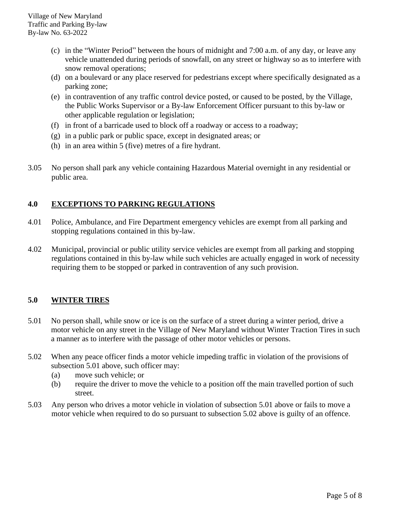- (c) in the "Winter Period" between the hours of midnight and 7:00 a.m. of any day, or leave any vehicle unattended during periods of snowfall, on any street or highway so as to interfere with snow removal operations;
- (d) on a boulevard or any place reserved for pedestrians except where specifically designated as a parking zone;
- (e) in contravention of any traffic control device posted, or caused to be posted, by the Village, the Public Works Supervisor or a By-law Enforcement Officer pursuant to this by-law or other applicable regulation or legislation;
- (f) in front of a barricade used to block off a roadway or access to a roadway;
- (g) in a public park or public space, except in designated areas; or
- (h) in an area within 5 (five) metres of a fire hydrant.
- 3.05 No person shall park any vehicle containing Hazardous Material overnight in any residential or public area.

# **4.0 EXCEPTIONS TO PARKING REGULATIONS**

- 4.01 Police, Ambulance, and Fire Department emergency vehicles are exempt from all parking and stopping regulations contained in this by-law.
- 4.02 Municipal, provincial or public utility service vehicles are exempt from all parking and stopping regulations contained in this by-law while such vehicles are actually engaged in work of necessity requiring them to be stopped or parked in contravention of any such provision.

## **5.0 WINTER TIRES**

- 5.01 No person shall, while snow or ice is on the surface of a street during a winter period, drive a motor vehicle on any street in the Village of New Maryland without Winter Traction Tires in such a manner as to interfere with the passage of other motor vehicles or persons.
- 5.02 When any peace officer finds a motor vehicle impeding traffic in violation of the provisions of subsection 5.01 above, such officer may:
	- (a) move such vehicle; or
	- (b) require the driver to move the vehicle to a position off the main travelled portion of such street.
- 5.03 Any person who drives a motor vehicle in violation of subsection 5.01 above or fails to move a motor vehicle when required to do so pursuant to subsection 5.02 above is guilty of an offence.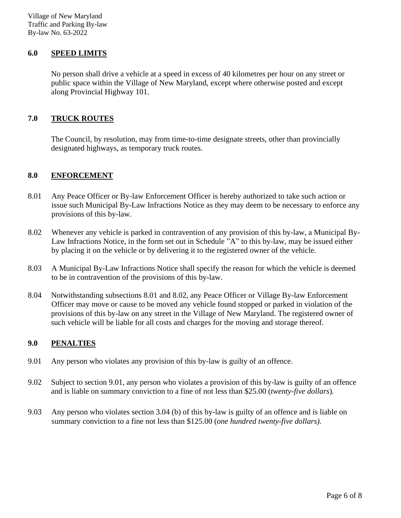#### **6.0 SPEED LIMITS**

No person shall drive a vehicle at a speed in excess of 40 kilometres per hour on any street or public space within the Village of New Maryland, except where otherwise posted and except along Provincial Highway 101.

### **7.0 TRUCK ROUTES**

The Council, by resolution, may from time-to-time designate streets, other than provincially designated highways, as temporary truck routes.

### **8.0 ENFORCEMENT**

- 8.01 Any Peace Officer or By-law Enforcement Officer is hereby authorized to take such action or issue such Municipal By-Law Infractions Notice as they may deem to be necessary to enforce any provisions of this by-law.
- 8.02 Whenever any vehicle is parked in contravention of any provision of this by-law, a Municipal By-Law Infractions Notice, in the form set out in Schedule "A" to this by-law, may be issued either by placing it on the vehicle or by delivering it to the registered owner of the vehicle.
- 8.03 A Municipal By-Law Infractions Notice shall specify the reason for which the vehicle is deemed to be in contravention of the provisions of this by-law.
- 8.04 Notwithstanding subsections 8.01 and 8.02, any Peace Officer or Village By-law Enforcement Officer may move or cause to be moved any vehicle found stopped or parked in violation of the provisions of this by-law on any street in the Village of New Maryland. The registered owner of such vehicle will be liable for all costs and charges for the moving and storage thereof.

## **9.0 PENALTIES**

- 9.01 Any person who violates any provision of this by-law is guilty of an offence.
- 9.02 Subject to section 9.01, any person who violates a provision of this by-law is guilty of an offence and is liable on summary conviction to a fine of not less than \$25.00 (*twenty-five dollars*)*.*
- 9.03 Any person who violates section 3.04 (b) of this by-law is guilty of an offence and is liable on summary conviction to a fine not less than \$125.00 (*one hundred twenty-five dollars).*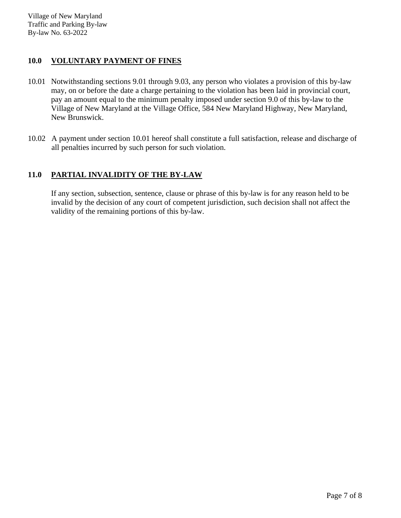# **10.0 VOLUNTARY PAYMENT OF FINES**

- 10.01 Notwithstanding sections 9.01 through 9.03, any person who violates a provision of this by-law may, on or before the date a charge pertaining to the violation has been laid in provincial court, pay an amount equal to the minimum penalty imposed under section 9.0 of this by-law to the Village of New Maryland at the Village Office, 584 New Maryland Highway, New Maryland, New Brunswick.
- 10.02 A payment under section 10.01 hereof shall constitute a full satisfaction, release and discharge of all penalties incurred by such person for such violation.

# **11.0 PARTIAL INVALIDITY OF THE BY-LAW**

If any section, subsection, sentence, clause or phrase of this by-law is for any reason held to be invalid by the decision of any court of competent jurisdiction, such decision shall not affect the validity of the remaining portions of this by-law.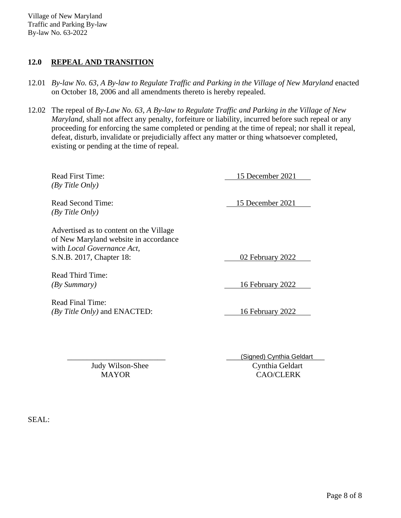# **12.0 REPEAL AND TRANSITION**

- 12.01 *By-law No. 63, A By-law to Regulate Traffic and Parking in the Village of New Maryland* enacted on October 18, 2006 and all amendments thereto is hereby repealed.
- 12.02 The repeal of *By-Law No. 63, A By-law to Regulate Traffic and Parking in the Village of New Maryland*, shall not affect any penalty, forfeiture or liability, incurred before such repeal or any proceeding for enforcing the same completed or pending at the time of repeal; nor shall it repeal, defeat, disturb, invalidate or prejudicially affect any matter or thing whatsoever completed, existing or pending at the time of repeal.

*(By Title Only)*

Read First Time: 15 December 2021

Read Second Time: 15 December 2021 *(By Title Only)*

Advertised as to content on the Village of New Maryland website in accordance with *Local Governance Act,* S.N.B. 2017, Chapter 18: 02 February 2022

Read Third Time:

Read Final Time: *(By Title Only)* and ENACTED: 16 February 2022

*(By Summary)* 16 February 2022

 \_\_\_\_\_\_\_\_\_\_\_\_\_\_\_\_\_\_\_\_\_\_\_\_\_ \_\_\_\_\_\_\_\_\_\_\_\_\_\_\_\_\_\_\_\_\_\_\_\_\_ (Signed) Cynthia Geldart Judy Wilson-Shee Cynthia Geldart MAYOR CAO/CLERK

SEAL: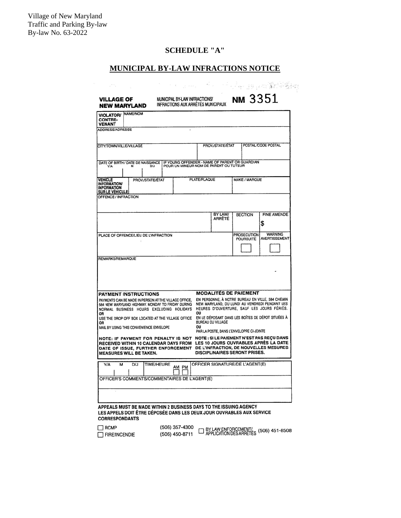# **SCHEDULE "A"**

| <b>MUNICIPAL BY-LAW INFRACTIONS NOTICE</b>                                                                                                                          |                   |                                                                     |                                        |                                 |                                                                                                                                 |  |  |  |
|---------------------------------------------------------------------------------------------------------------------------------------------------------------------|-------------------|---------------------------------------------------------------------|----------------------------------------|---------------------------------|---------------------------------------------------------------------------------------------------------------------------------|--|--|--|
| an n                                                                                                                                                                |                   |                                                                     |                                        |                                 | in sheri 19 yan Mise go                                                                                                         |  |  |  |
| VILLAGE OF<br><b>NEW MARYLAND</b>                                                                                                                                   |                   | MUNICIPAL BY-LAW INFRACTIONS/<br>INFRACTIONS AUX ARRÊTÉS MUNICIPAUX |                                        | พм 3351                         |                                                                                                                                 |  |  |  |
| <b>NAME/NOM</b><br><b>VIOLATOR/</b><br><b>CONTRE-</b><br>VENANT                                                                                                     |                   |                                                                     |                                        |                                 |                                                                                                                                 |  |  |  |
| ADDRESS/ADRESSE                                                                                                                                                     |                   |                                                                     |                                        |                                 |                                                                                                                                 |  |  |  |
| <b>CITY/TOWN/VILLE/VILLAGE</b>                                                                                                                                      |                   |                                                                     | PROV/STATE/ETAT<br>POSTAL /CODE POSTAL |                                 |                                                                                                                                 |  |  |  |
| DATE OF BIRTH / DATE DE NAISSANCE   IF YOUNG OFFENDER - NAME OF PARENT OR GUARDIAN<br>Y'A<br>м                                                                      | D/J               | POUR UN MINEUR NOM DE PARENT OU TUTEUR                              |                                        |                                 |                                                                                                                                 |  |  |  |
| <b>VEHICLE</b><br><b>INFORMATION</b><br><b>INFORMATION</b>                                                                                                          | PROV/STATE/ETAT   | PLATE/PLAQUE                                                        |                                        | MAKE / MARQUE                   |                                                                                                                                 |  |  |  |
| <b>SUR LE VEHICULE</b><br>OFFENCE / INFRACTION                                                                                                                      |                   |                                                                     |                                        |                                 |                                                                                                                                 |  |  |  |
|                                                                                                                                                                     |                   |                                                                     | BY LAW/<br>ARRÊTÉ                      | <b>SECTION</b>                  | <b>FINE AMENDE</b>                                                                                                              |  |  |  |
|                                                                                                                                                                     |                   |                                                                     |                                        |                                 | \$                                                                                                                              |  |  |  |
| PLACE OF OFFENCE/LIEU DE L'INFRACTION                                                                                                                               |                   |                                                                     |                                        | PROSECUTION<br><b>POURSUITE</b> | <b>WARNING</b><br>AVERTISSEMENT                                                                                                 |  |  |  |
| REMARKS/REMARQUE                                                                                                                                                    |                   |                                                                     |                                        |                                 |                                                                                                                                 |  |  |  |
| PAYMENT INSTRUCTIONS                                                                                                                                                |                   |                                                                     | <b>MODALITÉS DE PAIEMENT</b>           |                                 | EN PERSONNE, A NOTRE BUREAU EN VILLE, 584 CHEMIN                                                                                |  |  |  |
| PAYMENTS CAN BE MADE IN PERSON AT THE VILLAGE OFFICE.<br>584 NEW MARYLAND HIGHWAY. MONDAY TO FRIDAY DURING<br>NORMAL BUSINESS HOURS EXCLUDING HOLIDAYS              |                   |                                                                     |                                        |                                 | NEW MARYLAND, DU LUNDI AU VENDREDI PENDANT LES<br>HEURES D'OUVERTURE, SAUF LES JOURS FÉRIÉS.                                    |  |  |  |
| ου<br>OR<br>EN LE DÉPOSANT DANS LES BOÎTES DE DÉPOT SITUÉES À<br>USE THE DROP OFF BOX LOCATED AT THE VILLAGE OFFICE<br>BUREAU DU VILLAGE                            |                   |                                                                     |                                        |                                 |                                                                                                                                 |  |  |  |
| OR<br>ου<br>MAIL BY USING THIS CONVENIENCE ENVELOPE<br>PAR LA POSTE, DANS L'ENVELOPPE CI-JOINTE                                                                     |                   |                                                                     |                                        |                                 |                                                                                                                                 |  |  |  |
| NOTE: IF PAYMENT FOR PENALTY IS NOT<br>RECEIVED WITHIN 10 CALENDAR DAYS FROM<br>DATE OF ISSUE, FURTHER ENFORCEMENT<br>MEASURES WILL BE TAKEN.                       |                   |                                                                     | <b>DISCIPLINAIRES SERONT PRISES.</b>   |                                 | <b>NOTE: SILE PAIEMENT N'EST PAS RECU DANS</b><br>LES 10 JOURS OUVRABLES APRÈS LA DATE<br>DE L'INFRACTION, DE NOUVELLES MESURES |  |  |  |
| Y/A<br>D/J<br>м                                                                                                                                                     | <b>TIME/HEURE</b> | AM PM                                                               | OFFICER SIGNATURE/DE L'AGENT(E)        |                                 |                                                                                                                                 |  |  |  |
| OFFICER'S COMMENTS/COMMENTAIRES DE L'AGENT(E)                                                                                                                       |                   |                                                                     |                                        |                                 |                                                                                                                                 |  |  |  |
|                                                                                                                                                                     |                   |                                                                     |                                        |                                 |                                                                                                                                 |  |  |  |
| APPEALS MUST BE MADE WITHIN 2 BUSINESS DAYS TO THE ISSUING AGENCY<br>LES APPELS DOIT ÊTRE DÉPOSÉE DANS LES DEUX JOUR OUVRABLES AUX SERVICE<br><b>CORRESPONDANTS</b> |                   |                                                                     |                                        |                                 |                                                                                                                                 |  |  |  |
| RCMP<br><b>FIRE/INCENDIE</b>                                                                                                                                        |                   | (506) 357-4300<br>(506) 450-8711                                    |                                        |                                 | APPLICATION DES ARRETÉS (506) 451-8508                                                                                          |  |  |  |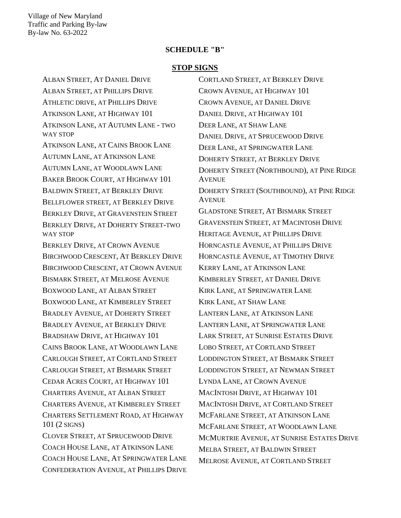#### **SCHEDULE "B"**

#### **STOP SIGNS**

ALBAN STREET, AT DANIEL DRIVE ALBAN STREET, AT PHILLIPS DRIVE ATHLETIC DRIVE, AT PHILLIPS DRIVE ATKINSON LANE, AT HIGHWAY 101 ATKINSON LANE, AT AUTUMN LANE - TWO WAY STOP ATKINSON LANE, AT CAINS BROOK LANE AUTUMN LANE, AT ATKINSON LANE AUTUMN LANE, AT WOODLAWN LANE BAKER BROOK COURT, AT HIGHWAY 101 BALDWIN STREET, AT BERKLEY DRIVE BELLFLOWER STREET, AT BERKLEY DRIVE BERKLEY DRIVE, AT GRAVENSTEIN STREET BERKLEY DRIVE, AT DOHERTY STREET-TWO WAY STOP BERKLEY DRIVE, AT CROWN AVENUE BIRCHWOOD CRESCENT, AT BERKLEY DRIVE BIRCHWOOD CRESCENT, AT CROWN AVENUE BISMARK STREET, AT MELROSE AVENUE BOXWOOD LANE, AT ALBAN STREET BOXWOOD LANE, AT KIMBERLEY STREET BRADLEY AVENUE, AT DOHERTY STREET BRADLEY AVENUE, AT BERKLEY DRIVE BRADSHAW DRIVE, AT HIGHWAY 101 CAINS BROOK LANE, AT WOODLAWN LANE CARLOUGH STREET, AT CORTLAND STREET CARLOUGH STREET, AT BISMARK STREET CEDAR ACRES COURT, AT HIGHWAY 101 CHARTERS AVENUE, AT ALBAN STREET CHARTERS AVENUE, AT KIMBERLEY STREET CHARTERS SETTLEMENT ROAD, AT HIGHWAY 101 (2 SIGNS) CLOVER STREET, AT SPRUCEWOOD DRIVE COACH HOUSE LANE, AT ATKINSON LANE COACH HOUSE LANE, AT SPRINGWATER LANE CONFEDERATION AVENUE, AT PHILLIPS DRIVE

CORTLAND STREET, AT BERKLEY DRIVE CROWN AVENUE, AT HIGHWAY 101 CROWN AVENUE, AT DANIEL DRIVE DANIEL DRIVE, AT HIGHWAY 101 DEER LANE, AT SHAW LANE DANIEL DRIVE, AT SPRUCEWOOD DRIVE DEER LANE, AT SPRINGWATER LANE DOHERTY STREET, AT BERKLEY DRIVE DOHERTY STREET (NORTHBOUND), AT PINE RIDGE AVENUE DOHERTY STREET (SOUTHBOUND), AT PINE RIDGE **AVENUE** GLADSTONE STREET, AT BISMARK STREET GRAVENSTEIN STREET, AT MACINTOSH DRIVE HERITAGE AVENUE, AT PHILLIPS DRIVE HORNCASTLE AVENUE, AT PHILLIPS DRIVE HORNCASTLE AVENUE, AT TIMOTHY DRIVE KERRY LANE, AT ATKINSON LANE KIMBERLEY STREET, AT DANIEL DRIVE KIRK LANE, AT SPRINGWATER LANE KIRK LANE, AT SHAW LANE LANTERN LANE, AT ATKINSON LANE LANTERN LANE, AT SPRINGWATER LANE LARK STREET, AT SUNRISE ESTATES DRIVE LOBO STREET, AT CORTLAND STREET LODDINGTON STREET, AT BISMARK STREET LODDINGTON STREET, AT NEWMAN STREET LYNDA LANE, AT CROWN AVENUE MACINTOSH DRIVE, AT HIGHWAY 101 MACINTOSH DRIVE, AT CORTLAND STREET MCFARLANE STREET, AT ATKINSON LANE MCFARLANE STREET, AT WOODLAWN LANE MCMURTRIE AVENUE, AT SUNRISE ESTATES DRIVE MELBA STREET, AT BALDWIN STREET MELROSE AVENUE, AT CORTLAND STREET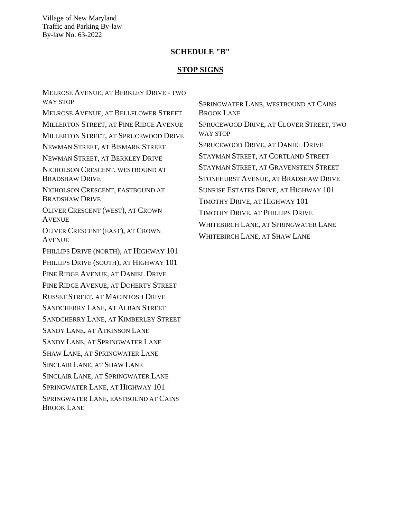#### **SCHEDULE "B"**

#### **STOP SIGNS**

MELROSE AVENUE, AT BERKLEY DRIVE - TWO WAY STOP MELROSE AVENUE, AT BELLFLOWER STREET MILLERTON STREET, AT PINE RIDGE AVENUE MILLERTON STREET, AT SPRUCEWOOD DRIVE NEWMAN STREET, AT BISMARK STREET NEWMAN STREET, AT BERKLEY DRIVE NICHOLSON CRESCENT, WESTBOUND AT BRADSHAW DRIVE NICHOLSON CRESCENT, EASTBOUND AT BRADSHAW DRIVE OLIVER CRESCENT (WEST), AT CROWN AVENUE OLIVER CRESCENT (EAST), AT CROWN **AVENUE** PHILLIPS DRIVE (NORTH), AT HIGHWAY 101 PHILLIPS DRIVE (SOUTH), AT HIGHWAY 101 PINE RIDGE AVENUE, AT DANIEL DRIVE PINE RIDGE AVENUE, AT DOHERTY STREET RUSSET STREET, AT MACINTOSH DRIVE SANDCHERRY LANE, AT ALBAN STREET SANDCHERRY LANE, AT KIMBERLEY STREET SANDY LANE, AT ATKINSON LANE SANDY LANE, AT SPRINGWATER LANE SHAW LANE, AT SPRINGWATER LANE SINCLAIR LANE, AT SHAW LANE SINCLAIR LANE, AT SPRINGWATER LANE SPRINGWATER LANE, AT HIGHWAY 101 SPRINGWATER LANE, EASTBOUND AT CAINS BROOK LANE

SPRINGWATER LANE, WESTBOUND AT CAINS BROOK LANE SPRUCEWOOD DRIVE, AT CLOVER STREET, TWO WAY STOP SPRUCEWOOD DRIVE, AT DANIEL DRIVE STAYMAN STREET, AT CORTLAND STREET STAYMAN STREET, AT GRAVENSTEIN STREET STONEHURST AVENUE, AT BRADSHAW DRIVE SUNRISE ESTATES DRIVE, AT HIGHWAY 101 TIMOTHY DRIVE, AT HIGHWAY 101 TIMOTHY DRIVE, AT PHILLIPS DRIVE WHITEBIRCH LANE, AT SPRINGWATER LANE WHITEBIRCH LANE, AT SHAW LANE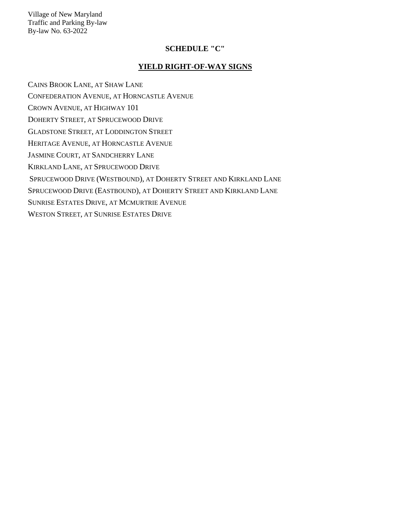#### **SCHEDULE "C"**

#### **YIELD RIGHT-OF-WAY SIGNS**

CAINS BROOK LANE, AT SHAW LANE CONFEDERATION AVENUE, AT HORNCASTLE AVENUE CROWN AVENUE, AT HIGHWAY 101 DOHERTY STREET, AT SPRUCEWOOD DRIVE GLADSTONE STREET, AT LODDINGTON STREET HERITAGE AVENUE, AT HORNCASTLE AVENUE JASMINE COURT, AT SANDCHERRY LANE KIRKLAND LANE, AT SPRUCEWOOD DRIVE SPRUCEWOOD DRIVE (WESTBOUND), AT DOHERTY STREET AND KIRKLAND LANE SPRUCEWOOD DRIVE (EASTBOUND), AT DOHERTY STREET AND KIRKLAND LANE SUNRISE ESTATES DRIVE, AT MCMURTRIE AVENUE WESTON STREET, AT SUNRISE ESTATES DRIVE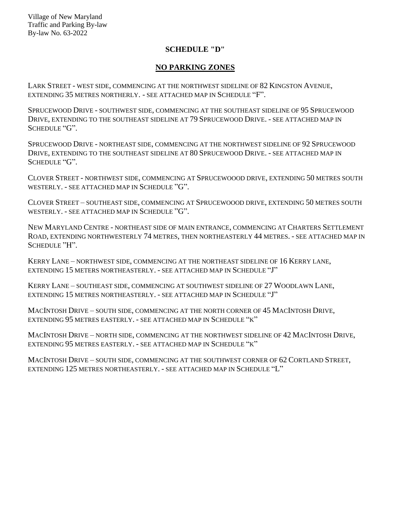## **SCHEDULE "D"**

## **NO PARKING ZONES**

LARK STREET - WEST SIDE, COMMENCING AT THE NORTHWEST SIDELINE OF 82 KINGSTON AVENUE, EXTENDING 35 METRES NORTHERLY. - SEE ATTACHED MAP IN SCHEDULE "F".

SPRUCEWOOD DRIVE - SOUTHWEST SIDE, COMMENCING AT THE SOUTHEAST SIDELINE OF 95 SPRUCEWOOD DRIVE, EXTENDING TO THE SOUTHEAST SIDELINE AT 79 SPRUCEWOOD DRIVE. - SEE ATTACHED MAP IN SCHEDULE "G".

SPRUCEWOOD DRIVE - NORTHEAST SIDE, COMMENCING AT THE NORTHWEST SIDELINE OF 92 SPRUCEWOOD DRIVE, EXTENDING TO THE SOUTHEAST SIDELINE AT 80 SPRUCEWOOD DRIVE. - SEE ATTACHED MAP IN SCHEDULE "G".

CLOVER STREET - NORTHWEST SIDE, COMMENCING AT SPRUCEWOOOD DRIVE, EXTENDING 50 METRES SOUTH WESTERLY. - SEE ATTACHED MAP IN SCHEDULE "G".

CLOVER STREET – SOUTHEAST SIDE, COMMENCING AT SPRUCEWOOOD DRIVE, EXTENDING 50 METRES SOUTH WESTERLY. - SEE ATTACHED MAP IN SCHEDULE "G".

NEW MARYLAND CENTRE - NORTHEAST SIDE OF MAIN ENTRANCE, COMMENCING AT CHARTERS SETTLEMENT ROAD, EXTENDING NORTHWESTERLY 74 METRES, THEN NORTHEASTERLY 44 METRES. - SEE ATTACHED MAP IN SCHEDULE "H".

KERRY LANE – NORTHWEST SIDE, COMMENCING AT THE NORTHEAST SIDELINE OF 16 KERRY LANE, EXTENDING 15 METERS NORTHEASTERLY. - SEE ATTACHED MAP IN SCHEDULE "J"

KERRY LANE – SOUTHEAST SIDE, COMMENCING AT SOUTHWEST SIDELINE OF 27 WOODLAWN LANE, EXTENDING 15 METRES NORTHEASTERLY. - SEE ATTACHED MAP IN SCHEDULE "J"

MACINTOSH DRIVE – SOUTH SIDE, COMMENCING AT THE NORTH CORNER OF 45 MACINTOSH DRIVE, EXTENDING 95 METRES EASTERLY. - SEE ATTACHED MAP IN SCHEDULE "K"

MACINTOSH DRIVE – NORTH SIDE, COMMENCING AT THE NORTHWEST SIDELINE OF 42 MACINTOSH DRIVE, EXTENDING 95 METRES EASTERLY. - SEE ATTACHED MAP IN SCHEDULE "K"

MACINTOSH DRIVE – SOUTH SIDE, COMMENCING AT THE SOUTHWEST CORNER OF 62 CORTLAND STREET, EXTENDING 125 METRES NORTHEASTERLY. - SEE ATTACHED MAP IN SCHEDULE "L"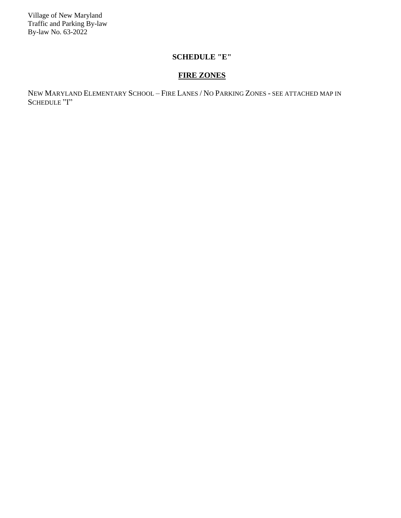## **SCHEDULE "E"**

# **FIRE ZONES**

NEW MARYLAND ELEMENTARY SCHOOL – FIRE LANES / NO PARKING ZONES - SEE ATTACHED MAP IN SCHEDULE "I"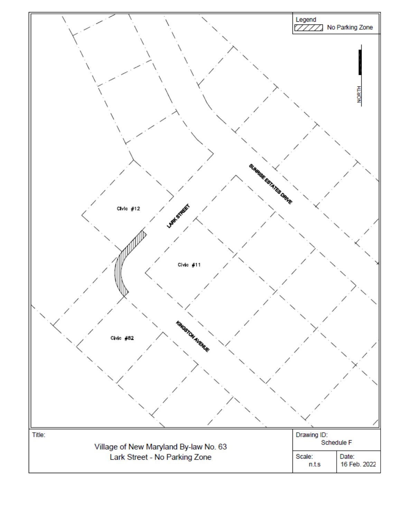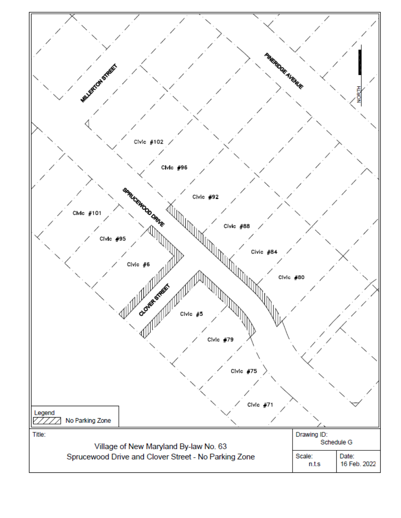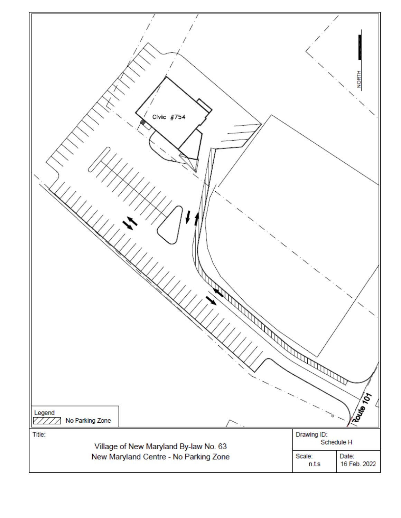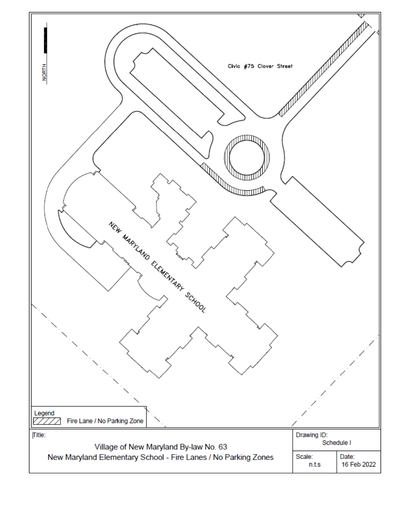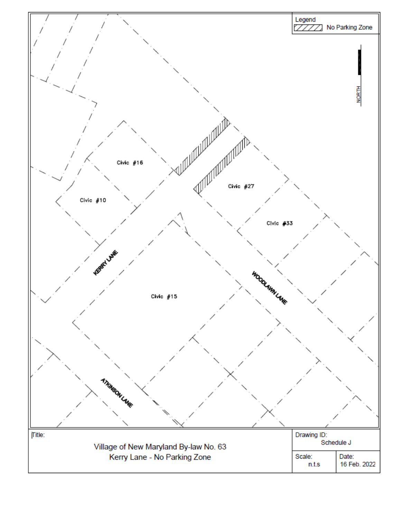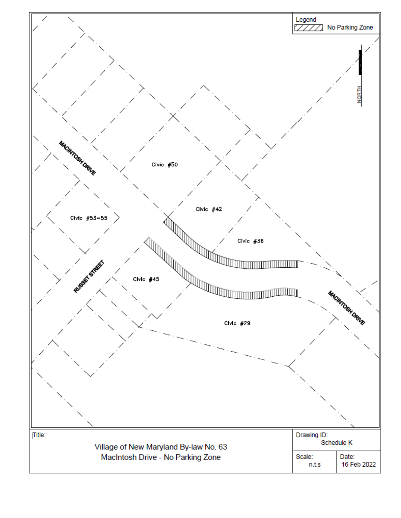